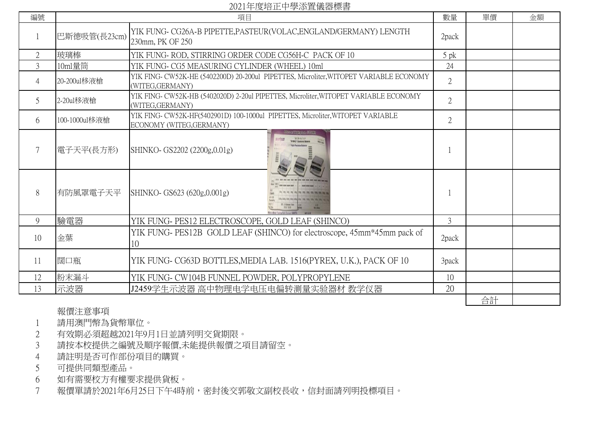2021年度培正中學添置儀器標書

| 編號             | $=$ $\frac{1}{2}$ $\frac{1}{2}$ $\frac{1}{2}$ $\frac{1}{2}$ $\frac{1}{2}$ $\frac{1}{2}$ $\frac{1}{2}$ $\frac{1}{2}$ $\frac{1}{2}$ $\frac{1}{2}$ $\frac{1}{2}$ $\frac{1}{2}$ $\frac{1}{2}$ $\frac{1}{2}$ $\frac{1}{2}$ $\frac{1}{2}$ $\frac{1}{2}$ $\frac{1}{2}$ $\frac{1}{2}$ $\frac{1}{2}$ $\frac{1}{2}$ $\frac{1}{2$<br>項目 |                                                                                                            | 數量             | 單價 | 金額 |
|----------------|------------------------------------------------------------------------------------------------------------------------------------------------------------------------------------------------------------------------------------------------------------------------------------------------------------------------------|------------------------------------------------------------------------------------------------------------|----------------|----|----|
|                | 巴斯德吸管(長23cm)                                                                                                                                                                                                                                                                                                                 | YIK FUNG- CG26A-B PIPETTE, PASTEUR (VOLAC, ENGLAND/GERMANY) LENGTH<br>230mm, PK OF 250                     | 2pack          |    |    |
| $\overline{2}$ | 玻璃棒                                                                                                                                                                                                                                                                                                                          | YIK FUNG-ROD, STIRRING ORDER CODE CG56H-C PACK OF 10                                                       | $5$ pk         |    |    |
| $\overline{3}$ | 10ml量筒                                                                                                                                                                                                                                                                                                                       | YIK FUNG- CG5 MEASURING CYLINDER (WHEEL) 10ml                                                              | 24             |    |    |
| 4              | 20-200ul移液槍                                                                                                                                                                                                                                                                                                                  | YIK FING- CW52K-HE (5402200D) 20-200ul PIPETTES, Microliter, WITOPET VARIABLE ECONOMY<br>(WITEG, GERMANY)  | $\overline{2}$ |    |    |
| 5              | 2-20ul移液槍                                                                                                                                                                                                                                                                                                                    | YIK FING- CW52K-HB (5402020D) 2-20ul PIPETTES, Microliter, WITOPET VARIABLE ECONOMY<br>(WITEG, GERMANY)    | $\overline{2}$ |    |    |
| 6              | 100-1000ul移液槍                                                                                                                                                                                                                                                                                                                | YIK FING- CW52K-HF(5402901D) 100-1000ul PIPETTES, Microliter, WITOPET VARIABLE<br>ECONOMY (WITEG, GERMANY) | $\overline{2}$ |    |    |
|                | 電子天平(長方形)                                                                                                                                                                                                                                                                                                                    | SHINKO- GS2202 (2200g,0.01g)                                                                               |                |    |    |
| 8              | 有防風罩電子天平                                                                                                                                                                                                                                                                                                                     | SHINKO- GS623 (620g,0.001g)                                                                                |                |    |    |
| 9              | 驗電器                                                                                                                                                                                                                                                                                                                          | YIK FUNG- PES12 ELECTROSCOPE, GOLD LEAF (SHINCO)                                                           | 3              |    |    |
| 10             | 金葉                                                                                                                                                                                                                                                                                                                           | YIK FUNG-PES12B GOLD LEAF (SHINCO) for electroscope, 45mm*45mm pack of<br>10                               | 2pack          |    |    |
| 11             | 闊口瓶                                                                                                                                                                                                                                                                                                                          | YIK FUNG-CG63D BOTTLES, MEDIA LAB. 1516(PYREX, U.K.), PACK OF 10                                           | 3pack          |    |    |
| 12             | 粉末漏斗                                                                                                                                                                                                                                                                                                                         | YIK FUNG- CW104B FUNNEL POWDER, POLYPROPYLENE                                                              | 10             |    |    |
| 13             | 示波器                                                                                                                                                                                                                                                                                                                          | J2459学生示波器 高中物理电学电压电偏转测量实验器材 教学仪器                                                                          | 20             |    |    |
|                |                                                                                                                                                                                                                                                                                                                              |                                                                                                            |                | 合計 |    |

## 報價注意事項

- 請用澳門幣為貨幣單位。
- 有效期必須超越2021年9月1日並請列明交貨期限。
- 請按本校提供之編號及順序報價,未能提供報價之項目請留空。
- 請註明是否可作部份項目的購買。
- 可提供同類型產品。
- 如有需要校方有權要求提供貨板。
- 報價單請於2021年6月25日下午4時前,密封後交郭敬文副校長收,信封面請列明投標項目。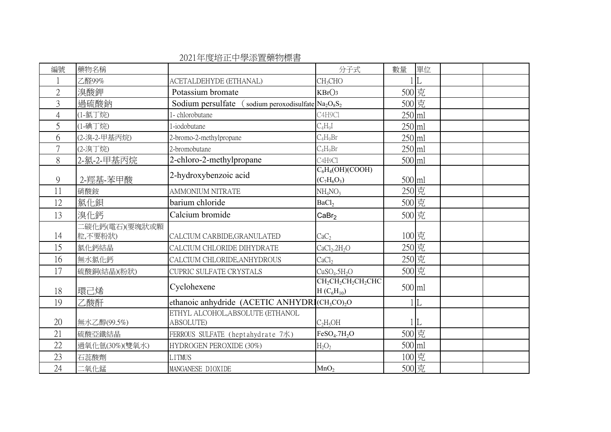| 編號             | 藥物名稱                      |                                                                       | 分子式                                                                                   | 數量       | 單位  |  |
|----------------|---------------------------|-----------------------------------------------------------------------|---------------------------------------------------------------------------------------|----------|-----|--|
|                | 乙醛99%                     | ACETALDEHYDE (ETHANAL)                                                | CH <sub>3</sub> CHO                                                                   |          | L   |  |
| $\overline{2}$ | 溴酸鉀                       | Potassium bromate                                                     | KBrO <sub>3</sub>                                                                     | 500 克    |     |  |
| 3              | 過硫酸鈉                      | Sodium persulfate<br>(sodium peroxodisulfate $Na_2O_8S_2$             |                                                                                       | 500 克    |     |  |
| $\overline{4}$ | (1-氯丁烷)                   | 1- chlorobutane                                                       | C4H9Cl                                                                                | $250$ ml |     |  |
| 5              | (1-碘丁烷)                   | 1-iodobutane                                                          | $C_4H_9I$                                                                             | 250 ml   |     |  |
| 6              | (2-溴-2-甲基丙烷)              | 2-bromo-2-methylpropane                                               | $C_4H_9Br$                                                                            | 250 ml   |     |  |
| $\overline{7}$ | (2-溴丁烷)                   | 2-bromobutane                                                         | $C_4H_9Br$                                                                            | 250 ml   |     |  |
| 8              | 2-氯-2-甲基丙烷                | 2-chloro-2-methylpropane                                              | C <sub>4</sub> H <sub>9</sub> C <sub>1</sub>                                          | 500 ml   |     |  |
| 9              | 2-羥基-苯甲酸                  | 2-hydroxybenzoic acid                                                 | $C_6H_4(OH)(COOH)$<br>$(C_7H_6O_3)$                                                   | 500 ml   |     |  |
| 11             | 硝酸銨                       | <b>AMMONIUM NITRATE</b>                                               | $NH_4NO_3$                                                                            | 250 克    |     |  |
| 12             | 氯化鋇                       | barium chloride                                                       | BaCl <sub>2</sub>                                                                     | 500 克    |     |  |
| 13             | 溴化鈣                       | Calcium bromide                                                       | CaBr <sub>2</sub>                                                                     | 500 克    |     |  |
| 14             | 二碳化鈣(電石)(要塊狀或顆<br>粒,不要粉狀) | CALCIUM CARBIDE, GRANULATED                                           | CaC <sub>2</sub>                                                                      | 100 克    |     |  |
| 15             | 氯化鈣結晶                     | CALCIUM CHLORIDE DIHYDRATE                                            | CaCl <sub>2</sub> .2H <sub>2</sub> O                                                  | 250 克    |     |  |
| 16             | 無水氯化鈣                     | CALCIUM CHLORIDE, ANHYDROUS                                           | CaCl <sub>2</sub>                                                                     | 250 克    |     |  |
| 17             | 硫酸銅(結晶)(粉狀)               | <b>CUPRIC SULFATE CRYSTALS</b>                                        | CuSO <sub>4</sub> .5H <sub>2</sub> O                                                  | 500 克    |     |  |
| 18             | 環己烯                       | Cyclohexene                                                           | CH <sub>2</sub> CH <sub>2</sub> CH <sub>2</sub> CH <sub>2</sub> CHC<br>$H(C_6H_{10})$ | 500 ml   |     |  |
| 19             | 乙酸酐                       | ethanoic anhydride (ACETIC ANHYDRI(CH <sub>3</sub> CO) <sub>2</sub> O |                                                                                       |          | L   |  |
| 20             | 無水乙醇(99.5%)               | ETHYL ALCOHOL, ABSOLUTE (ETHANOL<br>ABSOLUTE)                         | $C_2H_5OH$                                                                            |          | .IL |  |
| 21             | 硫酸亞鐵結晶                    | FERROUS SULFATE (heptahydrate 7水)                                     | $FeSO4$ .7 $H2O$                                                                      | 500 克    |     |  |
| 22             | 過氧化氫(30%)(雙氧水)            | HYDROGEN PEROXIDE (30%)                                               | $H_2O_2$                                                                              | 500 ml   |     |  |
| 23             | 石蕊酸劑                      | <b>LITMUS</b>                                                         |                                                                                       | 100 克    |     |  |
| 24             | 二氧化錳                      | MANGANESE DIOXIDE                                                     | MnO <sub>2</sub>                                                                      | 500 克    |     |  |

2021年度培正中學添置藥物標書